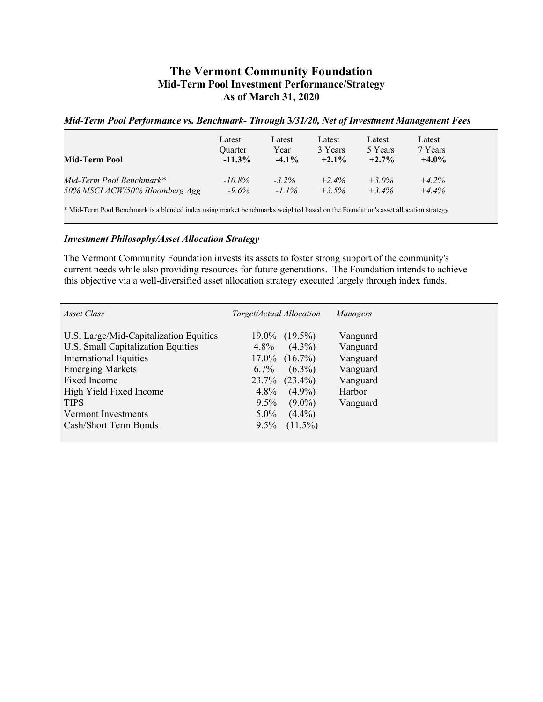## **The Vermont Community Foundation Mid-Term Pool Investment Performance/Strategy As of March 31, 2020**

## *Mid-Term Pool Performance vs. Benchmark- Through* **3***/31/20, Net of Investment Management Fees*

| Mid-Term Pool                                                                                                                     | Latest<br>Quarter<br>$-11.3\%$ | Latest<br><u>Year</u><br>$-4.1\%$ | Latest<br>3 Years<br>$+2.1\%$ | Latest<br>5 Years<br>$+2.7\%$ | Latest<br>7 Years<br>$+4.0%$ |  |
|-----------------------------------------------------------------------------------------------------------------------------------|--------------------------------|-----------------------------------|-------------------------------|-------------------------------|------------------------------|--|
| Mid-Term Pool Benchmark*                                                                                                          | $-10.8\%$                      | $-3.2\%$                          | $+2.4%$                       | $+3.0\%$                      | $+4.2%$                      |  |
| 50% MSCI ACW/50% Bloomberg Agg                                                                                                    | $-9.6\%$                       | $-1.1\%$                          | $+3.5%$                       | $+3.4\%$                      | $+4.4\%$                     |  |
| * Mid-Term Pool Benchmark is a blended index using market benchmarks weighted based on the Foundation's asset allocation strategy |                                |                                   |                               |                               |                              |  |

## *Investment Philosophy/Asset Allocation Strategy*

The Vermont Community Foundation invests its assets to foster strong support of the community's current needs while also providing resources for future generations. The Foundation intends to achieve this objective via a well-diversified asset allocation strategy executed largely through index funds.

| Asset Class                            | Target/Actual Allocation | Managers |
|----------------------------------------|--------------------------|----------|
| U.S. Large/Mid-Capitalization Equities | $19.0\%$ $(19.5\%)$      | Vanguard |
| U.S. Small Capitalization Equities     | $(4.3\%)$<br>$4.8\%$     | Vanguard |
| <b>International Equities</b>          | $17.0\%$ $(16.7\%)$      | Vanguard |
| <b>Emerging Markets</b>                | $(6.3\%)$<br>$6.7\%$     | Vanguard |
| Fixed Income                           | $23.7\%$ $(23.4\%)$      | Vanguard |
| High Yield Fixed Income                | $4.8\%$<br>$(4.9\%)$     | Harbor   |
| <b>TIPS</b>                            | $9.5\%$<br>$(9.0\%)$     | Vanguard |
| Vermont Investments                    | $5.0\%$<br>$(4.4\%)$     |          |
| Cash/Short Term Bonds                  | $(11.5\%)$<br>$9.5\%$    |          |
|                                        |                          |          |